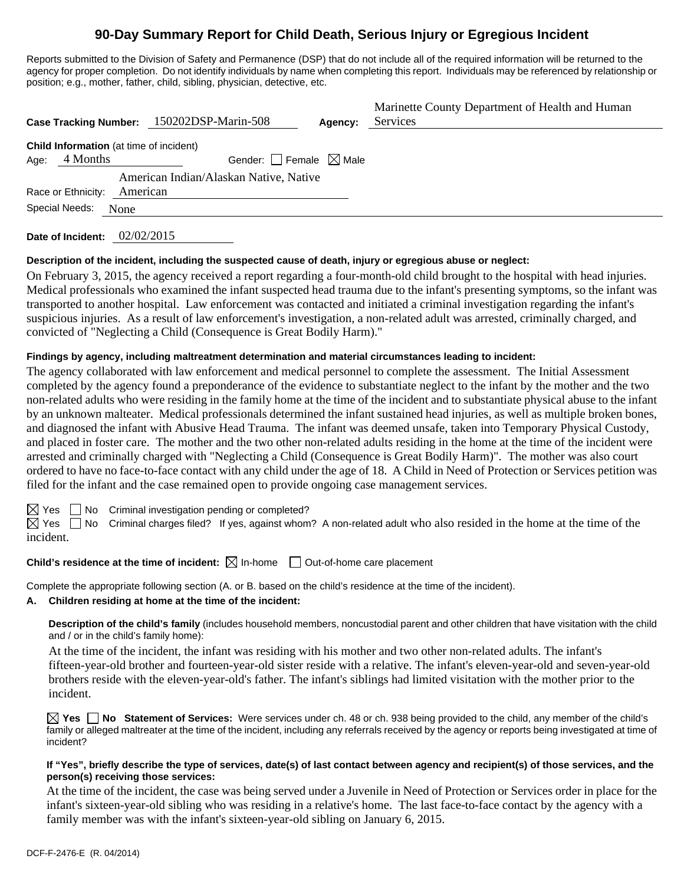# **90-Day Summary Report for Child Death, Serious Injury or Egregious Incident**

Reports submitted to the Division of Safety and Permanence (DSP) that do not include all of the required information will be returned to the agency for proper completion. Do not identify individuals by name when completing this report. Individuals may be referenced by relationship or position; e.g., mother, father, child, sibling, physician, detective, etc.

| <b>Case Tracking Number:</b>                                       | 150202DSP-Marin-508                    | Agency: | Marinette County Department of Health and Human<br>Services |
|--------------------------------------------------------------------|----------------------------------------|---------|-------------------------------------------------------------|
| <b>Child Information</b> (at time of incident)<br>4 Months<br>Age: | Gender: Female $\boxtimes$ Male        |         |                                                             |
|                                                                    | American Indian/Alaskan Native, Native |         |                                                             |
| Race or Ethnicity:                                                 | American                               |         |                                                             |
| Special Needs:<br>None                                             |                                        |         |                                                             |

**Date of Incident:** 02/02/2015

#### **Description of the incident, including the suspected cause of death, injury or egregious abuse or neglect:**

On February 3, 2015, the agency received a report regarding a four-month-old child brought to the hospital with head injuries. Medical professionals who examined the infant suspected head trauma due to the infant's presenting symptoms, so the infant was transported to another hospital. Law enforcement was contacted and initiated a criminal investigation regarding the infant's suspicious injuries. As a result of law enforcement's investigation, a non-related adult was arrested, criminally charged, and convicted of "Neglecting a Child (Consequence is Great Bodily Harm)."

## **Findings by agency, including maltreatment determination and material circumstances leading to incident:**

The agency collaborated with law enforcement and medical personnel to complete the assessment. The Initial Assessment completed by the agency found a preponderance of the evidence to substantiate neglect to the infant by the mother and the two non-related adults who were residing in the family home at the time of the incident and to substantiate physical abuse to the infant by an unknown malteater. Medical professionals determined the infant sustained head injuries, as well as multiple broken bones, and diagnosed the infant with Abusive Head Trauma. The infant was deemed unsafe, taken into Temporary Physical Custody, and placed in foster care. The mother and the two other non-related adults residing in the home at the time of the incident were arrested and criminally charged with "Neglecting a Child (Consequence is Great Bodily Harm)". The mother was also court ordered to have no face-to-face contact with any child under the age of 18. A Child in Need of Protection or Services petition was filed for the infant and the case remained open to provide ongoing case management services.

 $\boxtimes$  Yes  $\Box$  No Criminal investigation pending or completed?

 $\boxtimes$  Yes  $\Box$  No Criminal charges filed? If yes, against whom? A non-related adult who also resided in the home at the time of the incident.

# **Child's residence at the time of incident:**  $\boxtimes$  In-home  $\Box$  Out-of-home care placement

Complete the appropriate following section (A. or B. based on the child's residence at the time of the incident).

#### **A. Children residing at home at the time of the incident:**

**Description of the child's family** (includes household members, noncustodial parent and other children that have visitation with the child and / or in the child's family home):

 At the time of the incident, the infant was residing with his mother and two other non-related adults. The infant's fifteen-year-old brother and fourteen-year-old sister reside with a relative. The infant's eleven-year-old and seven-year-old brothers reside with the eleven-year-old's father. The infant's siblings had limited visitation with the mother prior to the incident.

**Yes No Statement of Services:** Were services under ch. 48 or ch. 938 being provided to the child, any member of the child's family or alleged maltreater at the time of the incident, including any referrals received by the agency or reports being investigated at time of incident?

#### **If "Yes", briefly describe the type of services, date(s) of last contact between agency and recipient(s) of those services, and the person(s) receiving those services:**

At the time of the incident, the case was being served under a Juvenile in Need of Protection or Services order in place for the infant's sixteen-year-old sibling who was residing in a relative's home. The last face-to-face contact by the agency with a family member was with the infant's sixteen-year-old sibling on January 6, 2015.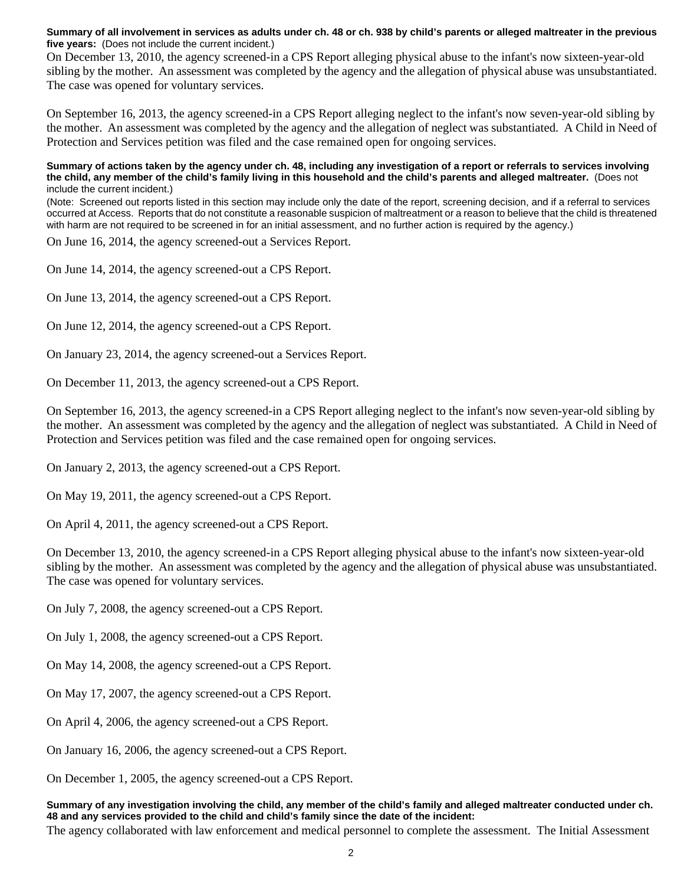**Summary of all involvement in services as adults under ch. 48 or ch. 938 by child's parents or alleged maltreater in the previous five years:** (Does not include the current incident.)

On December 13, 2010, the agency screened-in a CPS Report alleging physical abuse to the infant's now sixteen-year-old sibling by the mother. An assessment was completed by the agency and the allegation of physical abuse was unsubstantiated. The case was opened for voluntary services.

On September 16, 2013, the agency screened-in a CPS Report alleging neglect to the infant's now seven-year-old sibling by the mother. An assessment was completed by the agency and the allegation of neglect was substantiated. A Child in Need of Protection and Services petition was filed and the case remained open for ongoing services.

**Summary of actions taken by the agency under ch. 48, including any investigation of a report or referrals to services involving the child, any member of the child's family living in this household and the child's parents and alleged maltreater.** (Does not include the current incident.)

(Note: Screened out reports listed in this section may include only the date of the report, screening decision, and if a referral to services occurred at Access. Reports that do not constitute a reasonable suspicion of maltreatment or a reason to believe that the child is threatened with harm are not required to be screened in for an initial assessment, and no further action is required by the agency.)

On June 16, 2014, the agency screened-out a Services Report.

On June 14, 2014, the agency screened-out a CPS Report.

On June 13, 2014, the agency screened-out a CPS Report.

On June 12, 2014, the agency screened-out a CPS Report.

On January 23, 2014, the agency screened-out a Services Report.

On December 11, 2013, the agency screened-out a CPS Report.

On September 16, 2013, the agency screened-in a CPS Report alleging neglect to the infant's now seven-year-old sibling by the mother. An assessment was completed by the agency and the allegation of neglect was substantiated. A Child in Need of Protection and Services petition was filed and the case remained open for ongoing services.

On January 2, 2013, the agency screened-out a CPS Report.

On May 19, 2011, the agency screened-out a CPS Report.

On April 4, 2011, the agency screened-out a CPS Report.

On December 13, 2010, the agency screened-in a CPS Report alleging physical abuse to the infant's now sixteen-year-old sibling by the mother. An assessment was completed by the agency and the allegation of physical abuse was unsubstantiated. The case was opened for voluntary services.

On July 7, 2008, the agency screened-out a CPS Report.

On July 1, 2008, the agency screened-out a CPS Report.

On May 14, 2008, the agency screened-out a CPS Report.

On May 17, 2007, the agency screened-out a CPS Report.

On April 4, 2006, the agency screened-out a CPS Report.

On January 16, 2006, the agency screened-out a CPS Report.

On December 1, 2005, the agency screened-out a CPS Report.

**Summary of any investigation involving the child, any member of the child's family and alleged maltreater conducted under ch. 48 and any services provided to the child and child's family since the date of the incident:** 

The agency collaborated with law enforcement and medical personnel to complete the assessment. The Initial Assessment